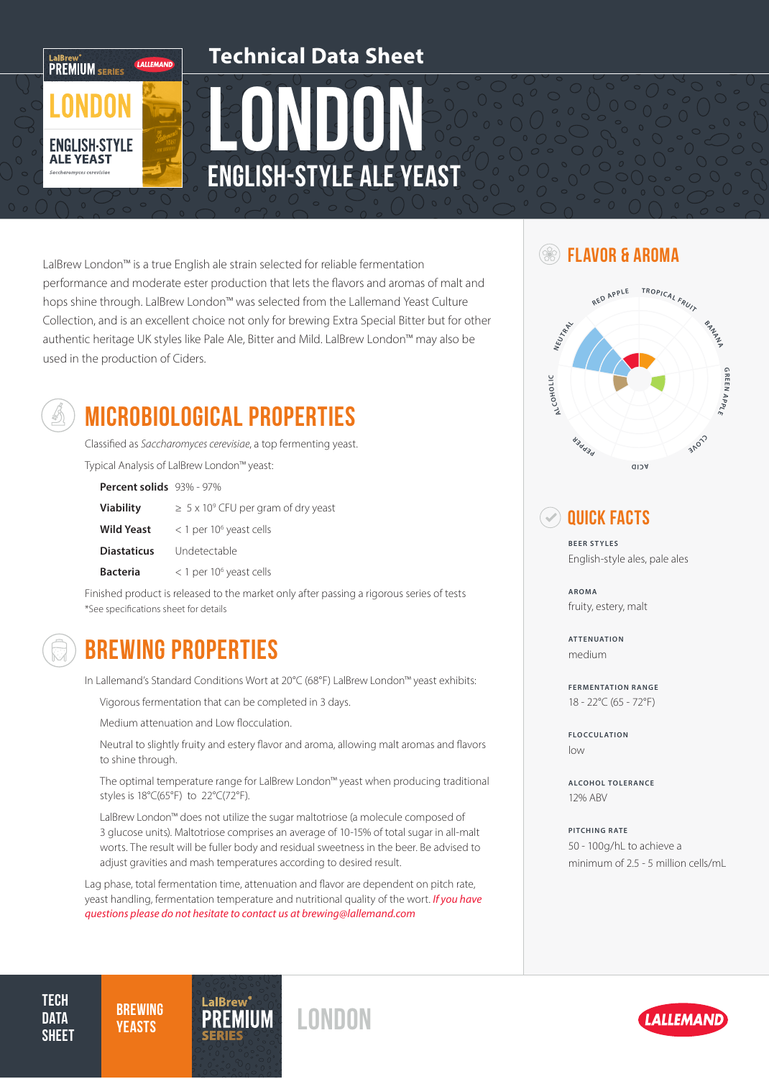

# leun English-Style Ale Yeast **Technical Data Sheet**

LalBrew London™ is a true English ale strain selected for reliable fermentation  $\Box$  <sup>38</sup> **FLAVOR & AROMA** performance and moderate ester production that lets the flavors and aromas of malt and hops shine through. LalBrew London™ was selected from the Lallemand Yeast Culture Collection, and is an excellent choice not only for brewing Extra Special Bitter but for other authentic heritage UK styles like Pale Ale, Bitter and Mild. LalBrew London™ may also be used in the production of Ciders.



## MICROBIOLOGICAL PROPERTIES

Classified as *Saccharomyces cerevisiae*, a top fermenting yeast.

Typical Analysis of LalBrew London™ yeast:

| <b>Percent solids</b> $93\%$ - $97\%$ |                                                |
|---------------------------------------|------------------------------------------------|
| <b>Viability</b>                      | $\geq 5 \times 10^9$ CFU per gram of dry yeast |
| <b>Wild Yeast</b>                     | $<$ 1 per 10 <sup>6</sup> yeast cells          |
| <b>Diastaticus</b>                    | Undetectable                                   |
| <b>Bacteria</b>                       | $<$ 1 per 10 <sup>6</sup> yeast cells          |

Finished product is released to the market only after passing a rigorous series of tests \*See specifications sheet for details

### BREWING PROPERTIES

In Lallemand's Standard Conditions Wort at 20°C (68°F) LalBrew London™ yeast exhibits:

Vigorous fermentation that can be completed in 3 days.

Medium attenuation and Low flocculation.

Neutral to slightly fruity and estery flavor and aroma, allowing malt aromas and flavors to shine through.

The optimal temperature range for LalBrew London™ yeast when producing traditional styles is 18°C(65°F) to 22°C(72°F).

LalBrew London™ does not utilize the sugar maltotriose (a molecule composed of 3 glucose units). Maltotriose comprises an average of 10-15% of total sugar in all-malt worts. The result will be fuller body and residual sweetness in the beer. Be advised to adjust gravities and mash temperatures according to desired result.

Lag phase, total fermentation time, attenuation and flavor are dependent on pitch rate, yeast handling, fermentation temperature and nutritional quality of the wort. *If you have questions please do not hesitate to contact us at brewing@lallemand.com*



### Quick Facts

**BEER STYLES** English-style ales, pale ales

**AROMA** fruity, estery, malt

**ATTENUATION** medium

**FERMENTATION RANGE** 18 - 22°C (65 - 72°F)

**FLOCCULATION** low

**ALCOHOL TOLERANCE** 12% ABV

**PITCHING RATE** 50 - 100g/hL to achieve a minimum of 2.5 - 5 million cells/mL

**TECH DATA SHEET** 

**BREWING**